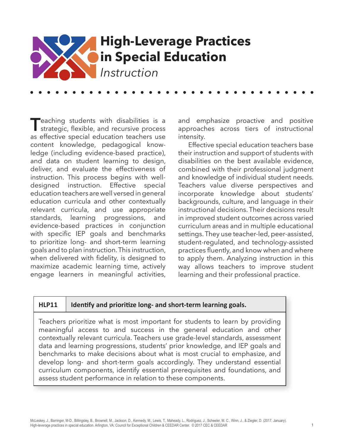

**T**eaching students with disabilities is a strategic, flexible, and recursive process as effective special education teachers use content knowledge, pedagogical knowledge (including evidence-based practice), and data on student learning to design, deliver, and evaluate the effectiveness of instruction. This process begins with welldesigned instruction. Effective special education teachers are well versed in general education curricula and other contextually relevant curricula, and use appropriate standards, learning progressions, and evidence-based practices in conjunction with specific IEP goals and benchmarks to prioritize long- and short-term learning goals and to plan instruction. This instruction, when delivered with fidelity, is designed to maximize academic learning time, actively engage learners in meaningful activities, and emphasize proactive and positive approaches across tiers of instructional intensity.

Effective special education teachers base their instruction and support of students with disabilities on the best available evidence, combined with their professional judgment and knowledge of individual student needs. Teachers value diverse perspectives and incorporate knowledge about students' backgrounds, culture, and language in their instructional decisions. Their decisions result in improved student outcomes across varied curriculum areas and in multiple educational settings. They use teacher-led, peer-assisted, student-regulated, and technology-assisted practices fluently, and know when and where to apply them. Analyzing instruction in this way allows teachers to improve student learning and their professional practice.

### **HLP11 Identify and prioritize long- and short-term learning goals.**

Teachers prioritize what is most important for students to learn by providing meaningful access to and success in the general education and other contextually relevant curricula. Teachers use grade-level standards, assessment data and learning progressions, students' prior knowledge, and IEP goals and benchmarks to make decisions about what is most crucial to emphasize, and develop long- and short-term goals accordingly. They understand essential curriculum components, identify essential prerequisites and foundations, and assess student performance in relation to these components.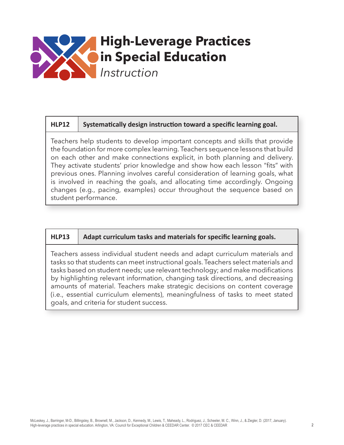

## **HLP12 Systematically design instruction toward a specific learning goal.**

Teachers help students to develop important concepts and skills that provide the foundation for more complex learning. Teachers sequence lessons that build on each other and make connections explicit, in both planning and delivery. They activate students' prior knowledge and show how each lesson "fits" with previous ones. Planning involves careful consideration of learning goals, what is involved in reaching the goals, and allocating time accordingly. Ongoing changes (e.g., pacing, examples) occur throughout the sequence based on student performance.

### **HLP13 Adapt curriculum tasks and materials for specific learning goals.**

Teachers assess individual student needs and adapt curriculum materials and tasks so that students can meet instructional goals. Teachers select materials and tasks based on student needs; use relevant technology; and make modifications by highlighting relevant information, changing task directions, and decreasing amounts of material. Teachers make strategic decisions on content coverage (i.e., essential curriculum elements), meaningfulness of tasks to meet stated goals, and criteria for student success.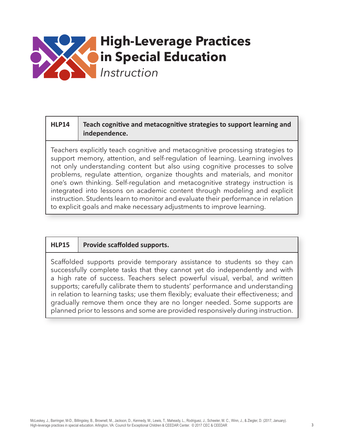

# **HLP14 Teach cognitive and metacognitive strategies to support learning and independence.**

Teachers explicitly teach cognitive and metacognitive processing strategies to support memory, attention, and self-regulation of learning. Learning involves not only understanding content but also using cognitive processes to solve problems, regulate attention, organize thoughts and materials, and monitor one's own thinking. Self-regulation and metacognitive strategy instruction is integrated into lessons on academic content through modeling and explicit instruction. Students learn to monitor and evaluate their performance in relation to explicit goals and make necessary adjustments to improve learning.

## **HLP15 Provide scaffolded supports.**

Scaffolded supports provide temporary assistance to students so they can successfully complete tasks that they cannot yet do independently and with a high rate of success. Teachers select powerful visual, verbal, and written supports; carefully calibrate them to students' performance and understanding in relation to learning tasks; use them flexibly; evaluate their effectiveness; and gradually remove them once they are no longer needed. Some supports are planned prior to lessons and some are provided responsively during instruction.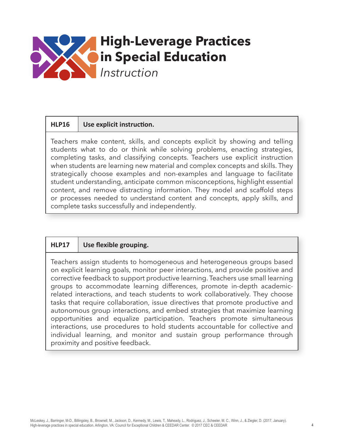

## **HLP16 Use explicit instruction.**

Teachers make content, skills, and concepts explicit by showing and telling students what to do or think while solving problems, enacting strategies, completing tasks, and classifying concepts. Teachers use explicit instruction when students are learning new material and complex concepts and skills. They strategically choose examples and non-examples and language to facilitate student understanding, anticipate common misconceptions, highlight essential content, and remove distracting information. They model and scaffold steps or processes needed to understand content and concepts, apply skills, and complete tasks successfully and independently.

## **HLP17 Use flexible grouping.**

Teachers assign students to homogeneous and heterogeneous groups based on explicit learning goals, monitor peer interactions, and provide positive and corrective feedback to support productive learning. Teachers use small learning groups to accommodate learning differences, promote in-depth academicrelated interactions, and teach students to work collaboratively. They choose tasks that require collaboration, issue directives that promote productive and autonomous group interactions, and embed strategies that maximize learning opportunities and equalize participation. Teachers promote simultaneous interactions, use procedures to hold students accountable for collective and individual learning, and monitor and sustain group performance through proximity and positive feedback.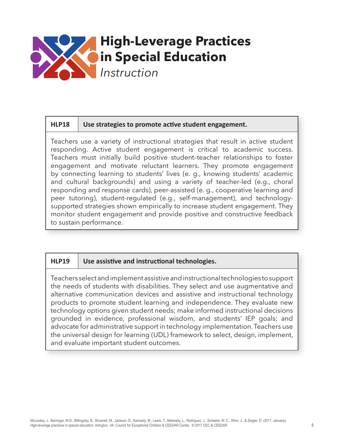

### **HLP18 Use strategies to promote active student engagement.**

Teachers use a variety of instructional strategies that result in active student responding. Active student engagement is critical to academic success. Teachers must initially build positive student–teacher relationships to foster engagement and motivate reluctant learners. They promote engagement by connecting learning to students' lives (e. g., knowing students' academic and cultural backgrounds) and using a variety of teacher-led (e.g., choral responding and response cards), peer-assisted (e. g., cooperative learning and peer tutoring), student-regulated (e.g., self-management), and technologysupported strategies shown empirically to increase student engagement. They monitor student engagement and provide positive and constructive feedback to sustain performance.

### **HLP19 Use assistive and instructional technologies.**

Teachers select and implement assistive and instructional technologies to support the needs of students with disabilities. They select and use augmentative and alternative communication devices and assistive and instructional technology products to promote student learning and independence. They evaluate new technology options given student needs; make informed instructional decisions grounded in evidence, professional wisdom, and students' IEP goals; and advocate for administrative support in technology implementation. Teachers use the universal design for learning (UDL) framework to select, design, implement, and evaluate important student outcomes.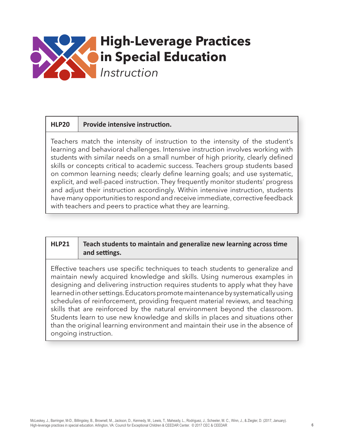

### **HLP20 Provide intensive instruction.**

Teachers match the intensity of instruction to the intensity of the student's learning and behavioral challenges. Intensive instruction involves working with students with similar needs on a small number of high priority, clearly defined skills or concepts critical to academic success. Teachers group students based on common learning needs; clearly define learning goals; and use systematic, explicit, and well-paced instruction. They frequently monitor students' progress and adjust their instruction accordingly. Within intensive instruction, students have many opportunities to respond and receive immediate, corrective feedback with teachers and peers to practice what they are learning.

## **HLP21 Teach students to maintain and generalize new learning across time and settings.**

Effective teachers use specific techniques to teach students to generalize and maintain newly acquired knowledge and skills. Using numerous examples in designing and delivering instruction requires students to apply what they have learned in other settings. Educators promote maintenance by systematically using schedules of reinforcement, providing frequent material reviews, and teaching skills that are reinforced by the natural environment beyond the classroom. Students learn to use new knowledge and skills in places and situations other than the original learning environment and maintain their use in the absence of ongoing instruction.